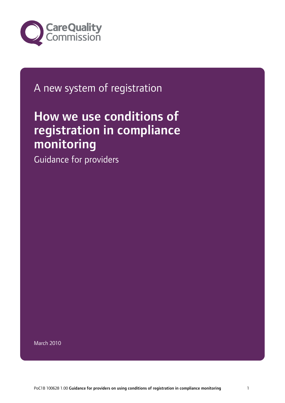

## A new system of registration

# How we use conditions of registration in compliance monitoring

Guidance for providers

March 2010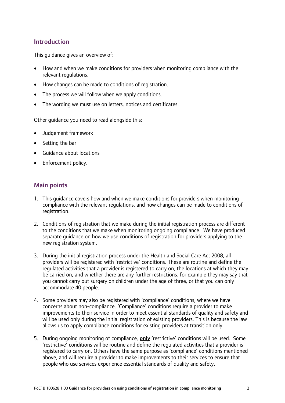#### Introduction

This guidance gives an overview of:

- How and when we make conditions for providers when monitoring compliance with the relevant regulations.
- How changes can be made to conditions of registration.
- The process we will follow when we apply conditions.
- The wording we must use on letters, notices and certificates.

Other guidance you need to read alongside this:

- Judgement framework
- Setting the bar
- Guidance about locations
- Enforcement policy.

#### Main points

- 1. This guidance covers how and when we make conditions for providers when monitoring compliance with the relevant regulations, and how changes can be made to conditions of registration.
- 2. Conditions of registration that we make during the initial registration process are different to the conditions that we make when monitoring ongoing compliance. We have produced separate guidance on how we use conditions of registration for providers applying to the new registration system.
- 3. During the initial registration process under the Health and Social Care Act 2008, all providers will be registered with 'restrictive' conditions. These are routine and define the regulated activities that a provider is registered to carry on, the locations at which they may be carried on, and whether there are any further restrictions: for example they may say that you cannot carry out surgery on children under the age of three, or that you can only accommodate 40 people.
- 4. Some providers may also be registered with 'compliance' conditions, where we have concerns about non-compliance. 'Compliance' conditions require a provider to make improvements to their service in order to meet essential standards of quality and safety and will be used only during the initial registration of existing providers. This is because the law allows us to apply compliance conditions for existing providers at transition only.
- 5. During ongoing monitoring of compliance, only 'restrictive' conditions will be used. Some 'restrictive' conditions will be routine and define the regulated activities that a provider is registered to carry on. Others have the same purpose as 'compliance' conditions mentioned above, and will require a provider to make improvements to their services to ensure that people who use services experience essential standards of quality and safety.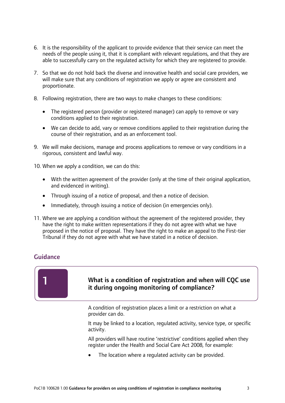- 6. It is the responsibility of the applicant to provide evidence that their service can meet the needs of the people using it, that it is compliant with relevant regulations, and that they are able to successfully carry on the regulated activity for which they are registered to provide.
- 7. So that we do not hold back the diverse and innovative health and social care providers, we will make sure that any conditions of registration we apply or agree are consistent and proportionate.
- 8. Following registration, there are two ways to make changes to these conditions:
	- The registered person (provider or registered manager) can apply to remove or vary conditions applied to their registration.
	- We can decide to add, vary or remove conditions applied to their registration during the course of their registration, and as an enforcement tool.
- 9. We will make decisions, manage and process applications to remove or vary conditions in a rigorous, consistent and lawful way.

10. When we apply a condition, we can do this:

- With the written agreement of the provider (only at the time of their original application, and evidenced in writing).
- Through issuing of a notice of proposal, and then a notice of decision.
- Immediately, through issuing a notice of decision (in emergencies only).
- 11. Where we are applying a condition without the agreement of the registered provider, they have the right to make written representations if they do not agree with what we have proposed in the notice of proposal. They have the right to make an appeal to the First-tier Tribunal if they do not agree with what we have stated in a notice of decision.

#### Guidance

1



A condition of registration places a limit or a restriction on what a provider can do.

It may be linked to a location, regulated activity, service type, or specific activity.

All providers will have routine 'restrictive' conditions applied when they register under the Health and Social Care Act 2008, for example:

The location where a regulated activity can be provided.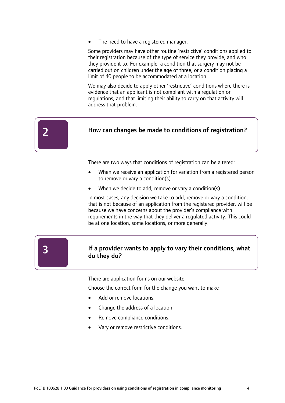The need to have a registered manager.

Some providers may have other routine 'restrictive' conditions applied to their registration because of the type of service they provide, and who they provide it to. For example, a condition that surgery may not be carried out on children under the age of three, or a condition placing a limit of 40 people to be accommodated at a location.

We may also decide to apply other 'restrictive' conditions where there is evidence that an applicant is not compliant with a regulation or regulations, and that limiting their ability to carry on that activity will address that problem.

| How can changes be made to conditions of registration? |
|--------------------------------------------------------|
|                                                        |

There are two ways that conditions of registration can be altered:

- When we receive an application for variation from a registered person to remove or vary a condition(s).
- When we decide to add, remove or vary a condition(s).

In most cases, any decision we take to add, remove or vary a condition, that is not because of an application from the registered provider, will be because we have concerns about the provider's compliance with requirements in the way that they deliver a regulated activity. This could be at one location, some locations, or more generally.

#### If a provider wants to apply to vary their conditions, what do they do?

There are application forms on our website.

Choose the correct form for the change you want to make

- Add or remove locations.
- Change the address of a location.
- Remove compliance conditions.
- Vary or remove restrictive conditions.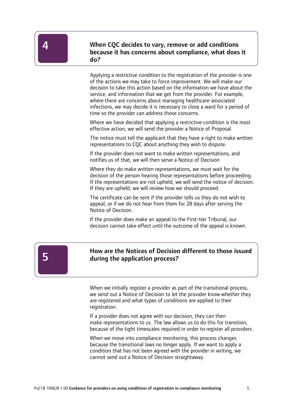4

 When CQC decides to vary, remove or add conditions because it has concerns about compliance, what does it do?

Applying a restrictive condition to the registration of the provider is one of the actions we may take to force improvement. We will make our decision to take this action based on the information we have about the service, and information that we get from the provider. For example, where there are concerns about managing healthcare-associated infections, we may decide it is necessary to close a ward for a period of time so the provider can address those concerns.

Where we have decided that applying a restrictive condition is the most effective action, we will send the provider a Notice of Proposal.

The notice must tell the applicant that they have a right to make written representations to CQC about anything they wish to dispute.

If the provider does not want to make written representations, and notifies us of that, we will then serve a Notice of Decision

Where they do make written representations, we must wait for the decision of the person hearing those representations before proceeding. If the representations are not upheld, we will send the notice of decision. If they are upheld, we will review how we should proceed.

The certificate can be sent if the provider tells us they do not wish to appeal, or if we do not hear from them for 28 days after serving the Notice of Decision.

If the provider does make an appeal to the First-tier Tribunal, our decision cannot take effect until the outcome of the appeal is known.



#### How are the Notices of Decision different to those issued during the application process?

When we initially register a provider as part of the transitional process, we send out a Notice of Decision to let the provider know whether they are registered and what types of conditions are applied to their registration.

If a provider does not agree with our decision, they can then make representations to us. The law allows us to do this for transition, because of the tight timescales required in order to register all providers.

When we move into compliance monitoring, this process changes because the transitional laws no longer apply. If we want to apply a condition that has not been agreed with the provider in writing, we cannot send out a Notice of Decision straightaway.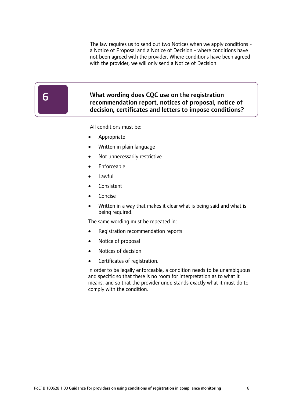The law requires us to send out two Notices when we apply conditions a Notice of Proposal and a Notice of Decision - where conditions have not been agreed with the provider. Where conditions have been agreed with the provider, we will only send a Notice of Decision.

#### What wording does CQC use on the registration recommendation report, notices of proposal, notice of decision, certificates and letters to impose conditions?

All conditions must be:

- Appropriate
- Written in plain language
- Not unnecessarily restrictive
- Enforceable
- Lawful
- Consistent
- Concise
- Written in a way that makes it clear what is being said and what is being required.

The same wording must be repeated in:

- Registration recommendation reports
- Notice of proposal
- Notices of decision
- Certificates of registration.

In order to be legally enforceable, a condition needs to be unambiguous and specific so that there is no room for interpretation as to what it means, and so that the provider understands exactly what it must do to comply with the condition.

 $\overline{1}$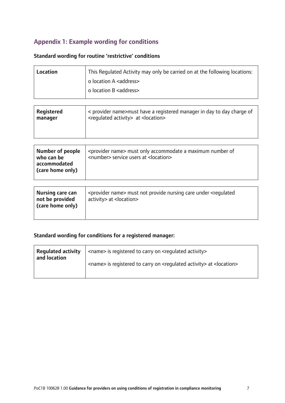### Appendix 1: Example wording for conditions

#### Standard wording for routine 'restrictive' conditions

| Location | This Regulated Activity may only be carried on at the following locations: |
|----------|----------------------------------------------------------------------------|
|          | o location A <address></address>                                           |
|          | o location B <address></address>                                           |

| Registered | < provider name>must have a registered manager in day to day charge of |
|------------|------------------------------------------------------------------------|
| manager    | <requlated activity=""> at <location></location></requlated>           |
|            |                                                                        |

| Number of people<br><provider name=""> must only accommodate a maximum number of<br/><number> service users at <location><br/>who can be<br/>accommodated<br/>(care home only)</location></number></provider> |
|---------------------------------------------------------------------------------------------------------------------------------------------------------------------------------------------------------------|
|---------------------------------------------------------------------------------------------------------------------------------------------------------------------------------------------------------------|

#### Standard wording for conditions for a registered manager:

| <b>Regulated activity</b><br>and location | <name> is registered to carry on <regulated activity=""></regulated></name>                          |
|-------------------------------------------|------------------------------------------------------------------------------------------------------|
|                                           | <name> is registered to carry on <regulated activity=""> at <location></location></regulated></name> |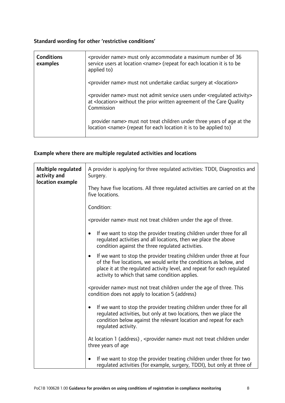#### Standard wording for other 'restrictive conditions'

| <b>Conditions</b><br>examples | <provider name=""> must only accommodate a maximum number of 36<br/>service users at location <name> (repeat for each location it is to be<br/>applied to)</name></provider>                             |
|-------------------------------|----------------------------------------------------------------------------------------------------------------------------------------------------------------------------------------------------------|
|                               | <provider name=""> must not undertake cardiac surgery at <location></location></provider>                                                                                                                |
|                               | <provider name=""> must not admit service users under <regulated activity=""><br/>at <location> without the prior written agreement of the Care Quality<br/>Commission</location></regulated></provider> |
|                               | provider name> must not treat children under three years of age at the<br>location <name> (repeat for each location it is to be applied to)</name>                                                       |

#### Example where there are multiple regulated activities and locations

| Multiple regulated<br>activity and<br>location example | A provider is applying for three regulated activities: TDDI, Diagnostics and<br>Surgery.                                                                                                                                                                                              |
|--------------------------------------------------------|---------------------------------------------------------------------------------------------------------------------------------------------------------------------------------------------------------------------------------------------------------------------------------------|
|                                                        | They have five locations. All three regulated activities are carried on at the<br>five locations.                                                                                                                                                                                     |
|                                                        | Condition:                                                                                                                                                                                                                                                                            |
|                                                        | <provider name=""> must not treat children under the age of three.</provider>                                                                                                                                                                                                         |
|                                                        | If we want to stop the provider treating children under three for all<br>$\bullet$<br>regulated activities and all locations, then we place the above<br>condition against the three regulated activities.                                                                            |
|                                                        | If we want to stop the provider treating children under three at four<br>$\bullet$<br>of the five locations, we would write the conditions as below, and<br>place it at the regulated activity level, and repeat for each regulated<br>activity to which that same condition applies. |
|                                                        | <provider name=""> must not treat children under the age of three. This<br/>condition does not apply to location 5 (address)</provider>                                                                                                                                               |
|                                                        | If we want to stop the provider treating children under three for all<br>$\bullet$<br>regulated activities, but only at two locations, then we place the<br>condition below against the relevant location and repeat for each<br>requlated activity.                                  |
|                                                        | At location 1 (address), <provider name=""> must not treat children under<br/>three years of age</provider>                                                                                                                                                                           |
|                                                        | If we want to stop the provider treating children under three for two<br>$\bullet$<br>regulated activities (for example, surgery, TDDI), but only at three of                                                                                                                         |